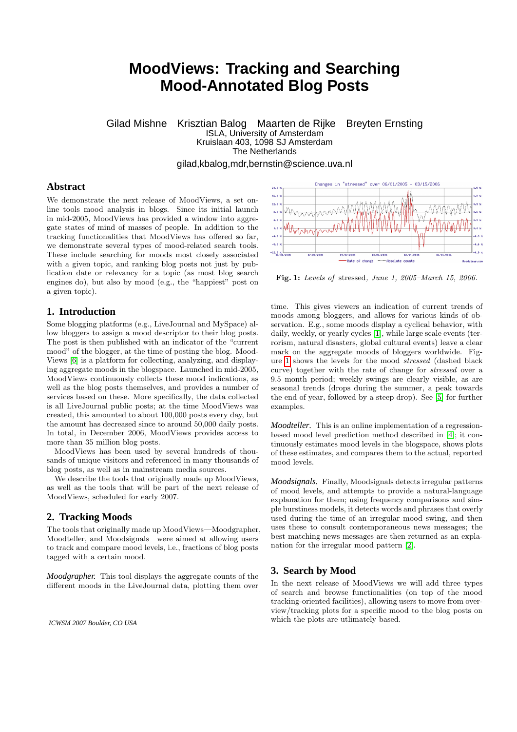# **MoodViews: Tracking and Searching Mood-Annotated Blog Posts**

Gilad Mishne Krisztian Balog Maarten de Rijke Breyten Ernsting ISLA, University of Amsterdam Kruislaan 403, 1098 SJ Amsterdam The Netherlands gilad,kbalog,mdr,bernstin@science.uva.nl

# **Abstract**

We demonstrate the next release of MoodViews, a set online tools mood analysis in blogs. Since its initial launch in mid-2005, MoodViews has provided a window into aggregate states of mind of masses of people. In addition to the tracking functionalities that MoodViews has offered so far, we demonstrate several types of mood-related search tools. These include searching for moods most closely associated with a given topic, and ranking blog posts not just by publication date or relevancy for a topic (as most blog search engines do), but also by mood (e.g., the "happiest" post on a given topic).

### **1. Introduction**

Some blogging platforms (e.g., LiveJournal and MySpace) allow bloggers to assign a mood descriptor to their blog posts. The post is then published with an indicator of the "current mood" of the blogger, at the time of posting the blog. Mood-Views [\[6\]](#page-1-0) is a platform for collecting, analyzing, and displaying aggregate moods in the blogspace. Launched in mid-2005, MoodViews continuously collects these mood indications, as well as the blog posts themselves, and provides a number of services based on these. More specifically, the data collected is all LiveJournal public posts; at the time MoodViews was created, this amounted to about 100,000 posts every day, but the amount has decreased since to around 50,000 daily posts. In total, in December 2006, MoodViews provides access to more than 35 million blog posts.

MoodViews has been used by several hundreds of thousands of unique visitors and referenced in many thousands of blog posts, as well as in mainstream media sources.

We describe the tools that originally made up MoodViews. as well as the tools that will be part of the next release of MoodViews, scheduled for early 2007.

#### **2. Tracking Moods**

The tools that originally made up MoodViews—Moodgrapher, Moodteller, and Moodsignals—were aimed at allowing users to track and compare mood levels, i.e., fractions of blog posts tagged with a certain mood.

*Moodgrapher.* This tool displays the aggregate counts of the different moods in the LiveJournal data, plotting them over



<span id="page-0-0"></span>Fig. 1: Levels of stressed, June 1, 2005–March 15, 2006.

time. This gives viewers an indication of current trends of moods among bloggers, and allows for various kinds of observation. E.g., some moods display a cyclical behavior, with daily, weekly, or yearly cycles [\[1\]](#page-1-1), while large scale events (terrorism, natural disasters, global cultural events) leave a clear mark on the aggregate moods of bloggers worldwide. Figure [1](#page-0-0) shows the levels for the mood stressed (dashed black curve) together with the rate of change for stressed over a 9.5 month period; weekly swings are clearly visible, as are seasonal trends (drops during the summer, a peak towards the end of year, followed by a steep drop). See [\[5\]](#page-1-2) for further examples.

*Moodteller.* This is an online implementation of a regressionbased mood level prediction method described in [\[4\]](#page-1-3); it continuously estimates mood levels in the blogspace, shows plots of these estimates, and compares them to the actual, reported mood levels.

*Moodsignals.* Finally, Moodsignals detects irregular patterns of mood levels, and attempts to provide a natural-language explanation for them; using frequency comparisons and simple burstiness models, it detects words and phrases that overly used during the time of an irregular mood swing, and then uses these to consult contemporaneous news messages; the best matching news messages are then returned as an explanation for the irregular mood pattern [\[2\]](#page-1-4).

### **3. Search by Mood**

In the next release of MoodViews we will add three types of search and browse functionalities (on top of the mood tracking-oriented facilities), allowing users to move from overview/tracking plots for a specific mood to the blog posts on which the plots are utlimately based.